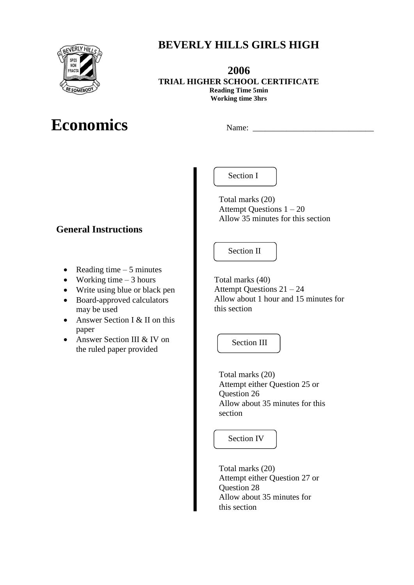

# **Economics** Name:

Section I

**BEVERLY HILLS GIRLS HIGH**

**2006 TRIAL HIGHER SCHOOL CERTIFICATE Reading Time 5min Working time 3hrs**

**General Instructions**

- Reading time  $-5$  minutes
- Working time  $-3$  hours
- Write using blue or black pen
- Board-approved calculators may be used
- Answer Section I & II on this paper
- Answer Section III & IV on the ruled paper provided

Total marks (20) Attempt Questions 1 – 20 Allow 35 minutes for this section

Section II

Total marks (40) Attempt Questions 21 – 24 Allow about 1 hour and 15 minutes for this section

Section III

Total marks (20) Attempt either Question 25 or Question 26 Allow about 35 minutes for this section

Section IV

Total marks (20) Attempt either Question 27 or Question 28 Allow about 35 minutes for this section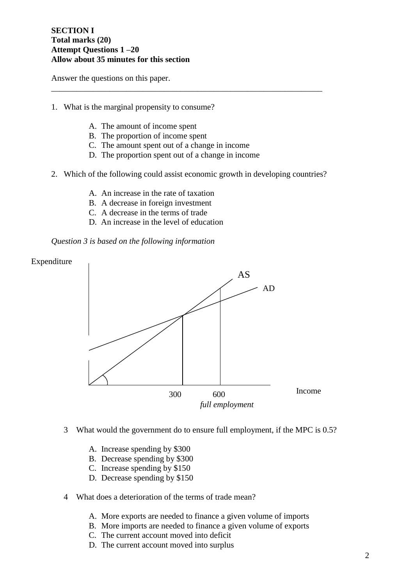### **SECTION I Total marks (20) Attempt Questions 1 –20 Allow about 35 minutes for this section**

Answer the questions on this paper.

- 1. What is the marginal propensity to consume?
	- A. The amount of income spent
	- B. The proportion of income spent
	- C. The amount spent out of a change in income
	- D. The proportion spent out of a change in income
- 2. Which of the following could assist economic growth in developing countries?

\_\_\_\_\_\_\_\_\_\_\_\_\_\_\_\_\_\_\_\_\_\_\_\_\_\_\_\_\_\_\_\_\_\_\_\_\_\_\_\_\_\_\_\_\_\_\_\_\_\_\_\_\_\_\_\_\_\_\_\_\_\_\_\_\_

- A. An increase in the rate of taxation
- B. A decrease in foreign investment
- C. A decrease in the terms of trade
- D. An increase in the level of education

*Question 3 is based on the following information*



- 3 What would the government do to ensure full employment, if the MPC is 0.5?
	- A. Increase spending by \$300
	- B. Decrease spending by \$300
	- C. Increase spending by \$150
	- D. Decrease spending by \$150
- 4 What does a deterioration of the terms of trade mean?
	- A. More exports are needed to finance a given volume of imports
	- B. More imports are needed to finance a given volume of exports
	- C. The current account moved into deficit
	- D. The current account moved into surplus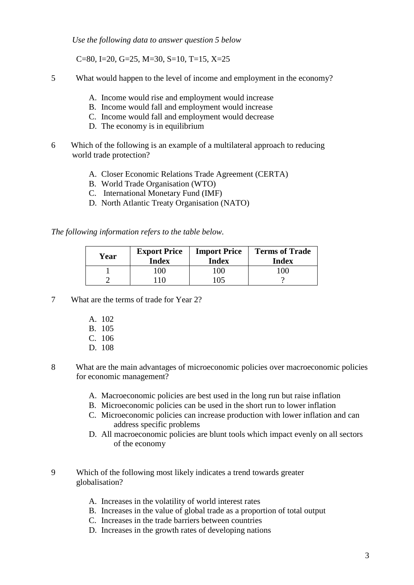*Use the following data to answer question 5 below*

C=80, I=20, G=25, M=30, S=10, T=15, X=25

5 What would happen to the level of income and employment in the economy?

- A. Income would rise and employment would increase
- B. Income would fall and employment would increase
- C. Income would fall and employment would decrease
- D. The economy is in equilibrium
- 6 Which of the following is an example of a multilateral approach to reducing world trade protection?
	- A. Closer Economic Relations Trade Agreement (CERTA)
	- B. World Trade Organisation (WTO)
	- C. International Monetary Fund (IMF)
	- D. North Atlantic Treaty Organisation (NATO)

*The following information refers to the table below.* 

| Year | <b>Export Price</b><br><b>Index</b> | <b>Import Price</b><br>Index | <b>Terms of Trade</b><br><b>Index</b> |
|------|-------------------------------------|------------------------------|---------------------------------------|
|      | $^{\prime}00$                       | 100                          | $00^{\circ}$                          |
|      |                                     | 105                          |                                       |

- 7 What are the terms of trade for Year 2?
	- A. 102
	- B. 105
	- C. 106
	- D. 108
- 8 What are the main advantages of microeconomic policies over macroeconomic policies for economic management?
	- A. Macroeconomic policies are best used in the long run but raise inflation
	- B. Microeconomic policies can be used in the short run to lower inflation
	- C. Microeconomic policies can increase production with lower inflation and can address specific problems
	- D. All macroeconomic policies are blunt tools which impact evenly on all sectors of the economy
- 9 Which of the following most likely indicates a trend towards greater globalisation?
	- A. Increases in the volatility of world interest rates
	- B. Increases in the value of global trade as a proportion of total output
	- C. Increases in the trade barriers between countries
	- D. Increases in the growth rates of developing nations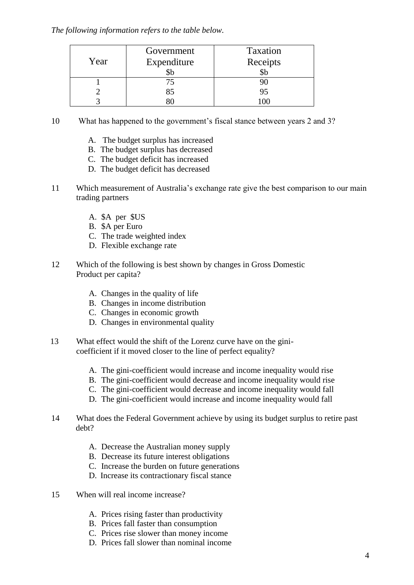# *The following information refers to the table below.*

|      | Government  | Taxation |
|------|-------------|----------|
| Year | Expenditure | Receipts |
|      | ЭU          |          |
|      | 75          |          |
|      | 85          |          |
|      |             |          |

- 10 What has happened to the government's fiscal stance between years 2 and 3?
	- A. The budget surplus has increased
	- B. The budget surplus has decreased
	- C. The budget deficit has increased
	- D. The budget deficit has decreased
- 11 Which measurement of Australia's exchange rate give the best comparison to our main trading partners
	- A. \$A per \$US
	- B. \$A per Euro
	- C. The trade weighted index
	- D. Flexible exchange rate
- 12 Which of the following is best shown by changes in Gross Domestic Product per capita?
	- A. Changes in the quality of life
	- B. Changes in income distribution
	- C. Changes in economic growth
	- D. Changes in environmental quality
- 13 What effect would the shift of the Lorenz curve have on the ginicoefficient if it moved closer to the line of perfect equality?
	- A. The gini-coefficient would increase and income inequality would rise
	- B. The gini-coefficient would decrease and income inequality would rise
	- C. The gini-coefficient would decrease and income inequality would fall
	- D. The gini-coefficient would increase and income inequality would fall
- 14 What does the Federal Government achieve by using its budget surplus to retire past debt?
	- A. Decrease the Australian money supply
	- B. Decrease its future interest obligations
	- C. Increase the burden on future generations
	- D. Increase its contractionary fiscal stance
- 15 When will real income increase?
	- A. Prices rising faster than productivity
	- B. Prices fall faster than consumption
	- C. Prices rise slower than money income
	- D. Prices fall slower than nominal income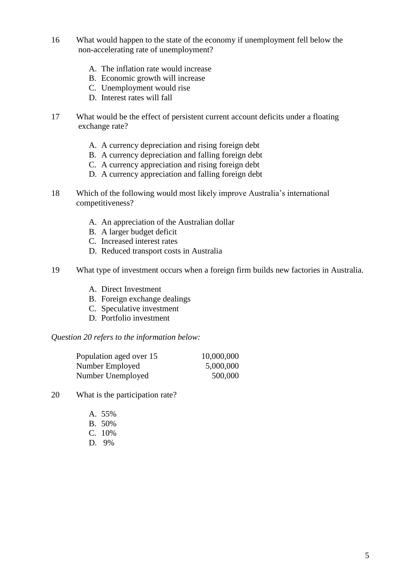- 16 What would happen to the state of the economy if unemployment fell below the non-accelerating rate of unemployment?
	- A. The inflation rate would increase
	- B. Economic growth will increase
	- C. Unemployment would rise
	- D. Interest rates will fall
- 17 What would be the effect of persistent current account deficits under a floating exchange rate?
	- A. A currency depreciation and rising foreign debt
	- B. A currency depreciation and falling foreign debt
	- C. A currency appreciation and rising foreign debt
	- D. A currency appreciation and falling foreign debt
- 18 Which of the following would most likely improve Australia's international competitiveness?
	- A. An appreciation of the Australian dollar
	- B. A larger budget deficit
	- C. Increased interest rates
	- D. Reduced transport costs in Australia
- 19 What type of investment occurs when a foreign firm builds new factories in Australia.
	- A. Direct Investment
	- B. Foreign exchange dealings
	- C. Speculative investment
	- D. Portfolio investment

*Question 20 refers to the information below:*

| Population aged over 15 | 10,000,000 |
|-------------------------|------------|
| Number Employed         | 5,000,000  |
| Number Unemployed       | 500,000    |

- 20 What is the participation rate?
	- A. 55%
	- B. 50%
	- C. 10%
	- D. 9%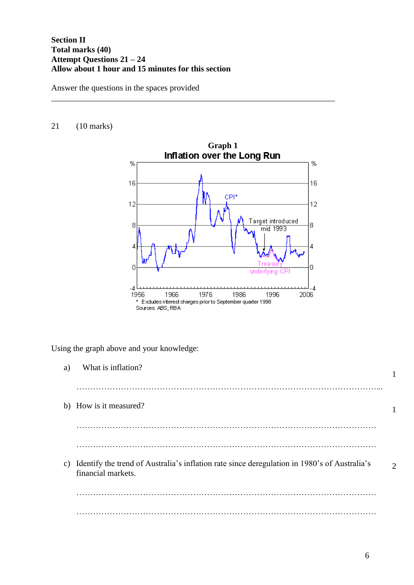# **Section II Total marks (40) Attempt Questions 21 – 24 Allow about 1 hour and 15 minutes for this section**

Answer the questions in the spaces provided

# 21 (10 marks)



\_\_\_\_\_\_\_\_\_\_\_\_\_\_\_\_\_\_\_\_\_\_\_\_\_\_\_\_\_\_\_\_\_\_\_\_\_\_\_\_\_\_\_\_\_\_\_\_\_\_\_\_\_\_\_\_\_\_\_\_\_\_\_\_\_\_\_\_

Using the graph above and your knowledge:

| a) | What is inflation?                                                                                                    |                             |
|----|-----------------------------------------------------------------------------------------------------------------------|-----------------------------|
|    |                                                                                                                       |                             |
|    | b) How is it measured?                                                                                                |                             |
|    |                                                                                                                       |                             |
|    |                                                                                                                       |                             |
|    | c) Identify the trend of Australia's inflation rate since deregulation in 1980's of Australia's<br>financial markets. | $\mathcal{D}_{\mathcal{L}}$ |
|    |                                                                                                                       |                             |
|    |                                                                                                                       |                             |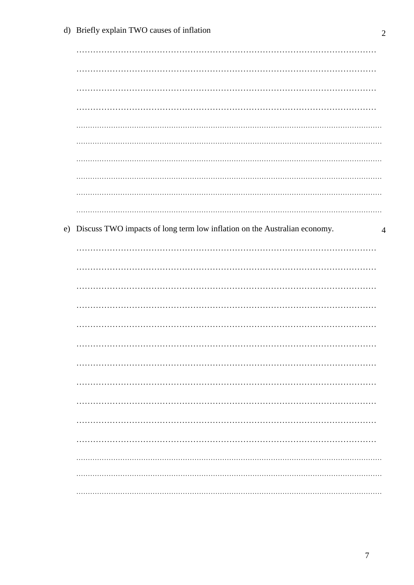| e) Discuss TWO impacts of long term low inflation on the Australian economy.<br>$\overline{4}$ |  |
|------------------------------------------------------------------------------------------------|--|
|                                                                                                |  |
|                                                                                                |  |
|                                                                                                |  |
|                                                                                                |  |
|                                                                                                |  |
|                                                                                                |  |
|                                                                                                |  |
|                                                                                                |  |
|                                                                                                |  |
| .                                                                                              |  |
|                                                                                                |  |
|                                                                                                |  |
|                                                                                                |  |
|                                                                                                |  |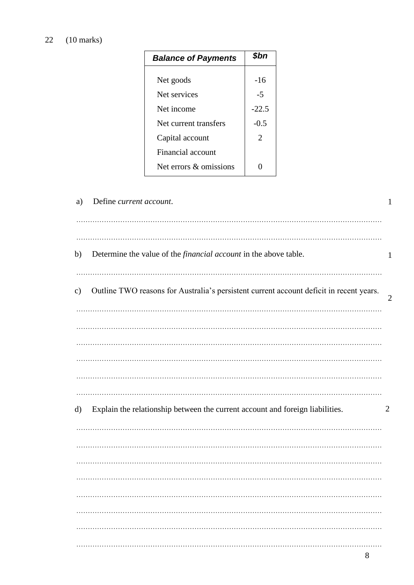# 22 (10 marks)

| <b>Balance of Payments</b> | \$bn           |
|----------------------------|----------------|
|                            |                |
| Net goods                  | -16            |
| Net services               | -5             |
| Net income                 | $-22.5$        |
| Net current transfers      | $-0.5$         |
| Capital account            | $\mathfrak{D}$ |
| Financial account          |                |
| Net errors & omissions     |                |

| a)            | Define current account.                                                                 | 1              |
|---------------|-----------------------------------------------------------------------------------------|----------------|
| b)            | Determine the value of the <i>financial account</i> in the above table.                 | 1              |
| $\mathbf{c})$ | Outline TWO reasons for Australia's persistent current account deficit in recent years. | $\overline{2}$ |
|               |                                                                                         |                |
|               |                                                                                         |                |
|               |                                                                                         |                |
| d)            | Explain the relationship between the current account and foreign liabilities.           | $\overline{2}$ |
|               |                                                                                         |                |
|               |                                                                                         |                |
|               |                                                                                         |                |
|               |                                                                                         |                |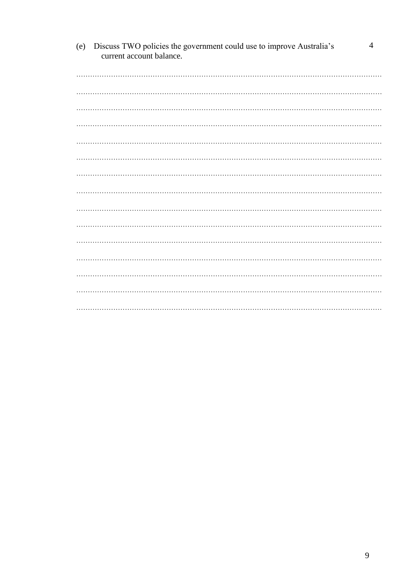| (e) | Discuss TWO policies the government could use to improve Australia's<br>current account balance. | 4 |
|-----|--------------------------------------------------------------------------------------------------|---|
|     |                                                                                                  |   |
|     |                                                                                                  |   |
|     |                                                                                                  |   |
|     |                                                                                                  |   |
|     |                                                                                                  |   |
|     |                                                                                                  |   |
|     |                                                                                                  |   |
|     |                                                                                                  |   |
|     |                                                                                                  |   |
|     |                                                                                                  |   |
|     |                                                                                                  |   |
|     |                                                                                                  |   |
|     |                                                                                                  |   |
|     |                                                                                                  |   |
|     |                                                                                                  |   |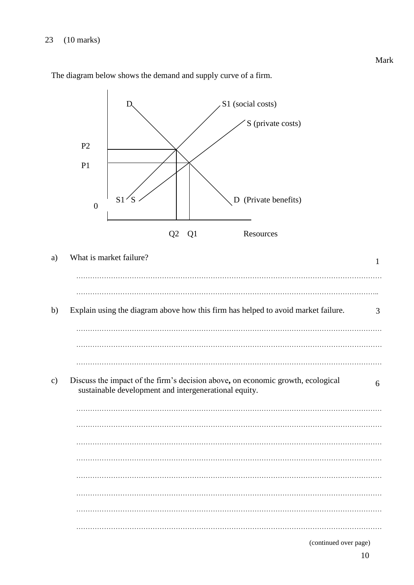

The diagram below shows the demand and supply curve of a firm.

10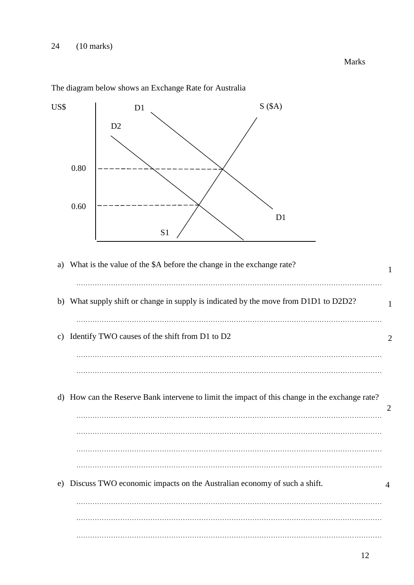US\$ a) What is the value of the \$A before the change in the exchange rate?  $\mathcal{L}^{\text{max}}_{\text{max}}$ b) What supply shift or change in supply is indicated by the move from D1D1 to D2D2? …………………………………………………………………………………………………………………… c) Identify TWO causes of the shift from D1 to D2 ……………………………………………………………………………………………………………………  $\mathcal{L}^{\text{max}}_{\text{max}}$ d) How can the Reserve Bank intervene to limit the impact of this change in the exchange rate? …………………………………………………………………………………………………………………… ……………………………………………………………………………………………………………………  $\mathcal{L}^{\text{max}}_{\text{max}}$ e) Discuss TWO economic impacts on the Australian economy of such a shift. ……………………………………………………………………………………………………………………  $\mathcal{L}^{\text{max}}$ …………………………………………………………………………………………………………………… 1 1 2 4  $D1$  S (\$A) S1 D<sub>1</sub> 0.80 0.60 D<sub>2</sub> 2

The diagram below shows an Exchange Rate for Australia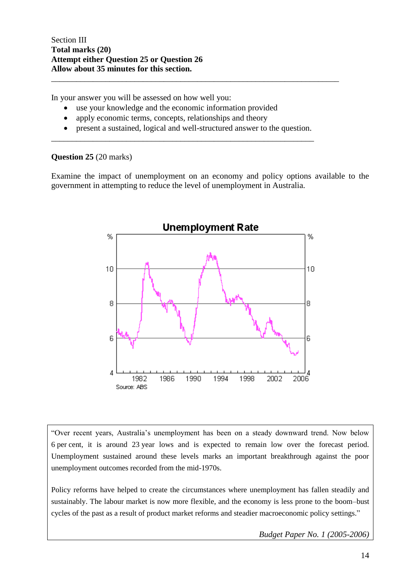In your answer you will be assessed on how well you:

- use your knowledge and the economic information provided
- apply economic terms, concepts, relationships and theory
- present a sustained, logical and well-structured answer to the question.

\_\_\_\_\_\_\_\_\_\_\_\_\_\_\_\_\_\_\_\_\_\_\_\_\_\_\_\_\_\_\_\_\_\_\_\_\_\_\_\_\_\_\_\_\_\_\_\_\_\_\_\_\_\_\_\_\_\_\_\_\_\_\_

\_\_\_\_\_\_\_\_\_\_\_\_\_\_\_\_\_\_\_\_\_\_\_\_\_\_\_\_\_\_\_\_\_\_\_\_\_\_\_\_\_\_\_\_\_\_\_\_\_\_\_\_\_\_\_\_\_\_\_\_\_\_\_\_\_\_\_\_\_

### **Question 25** (20 marks)

Examine the impact of unemployment on an economy and policy options available to the government in attempting to reduce the level of unemployment in Australia.



"Over recent years, Australia's unemployment has been on a steady downward trend. Now below 6 per cent, it is around 23 year lows and is expected to remain low over the forecast period. Unemployment sustained around these levels marks an important breakthrough against the poor unemployment outcomes recorded from the mid-1970s.

Policy reforms have helped to create the circumstances where unemployment has fallen steadily and sustainably. The labour market is now more flexible, and the economy is less prone to the boom–bust cycles of the past as a result of product market reforms and steadier macroeconomic policy settings."

*Budget Paper No. 1 (2005-2006)*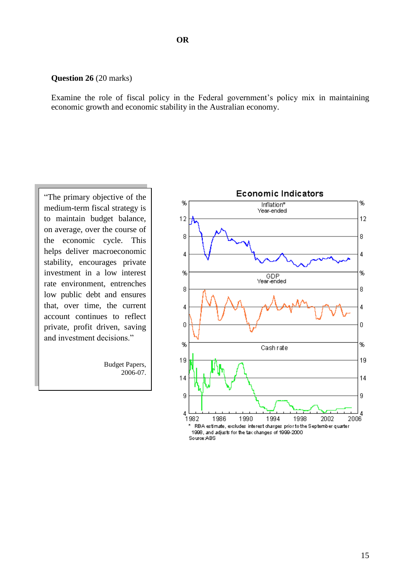#### **Question 26** (20 marks)

Examine the role of fiscal policy in the Federal government's policy mix in maintaining economic growth and economic stability in the Australian economy.

"The primary objective of the medium-term fiscal strategy is to maintain budget balance, on average, over the course of the economic cycle. This helps deliver macroeconomic stability, encourages private investment in a low interest rate environment, entrenches low public debt and ensures that, over time, the current account continues to reflect private, profit driven, saving and investment decisions."

> Budget Papers, 2006-07.

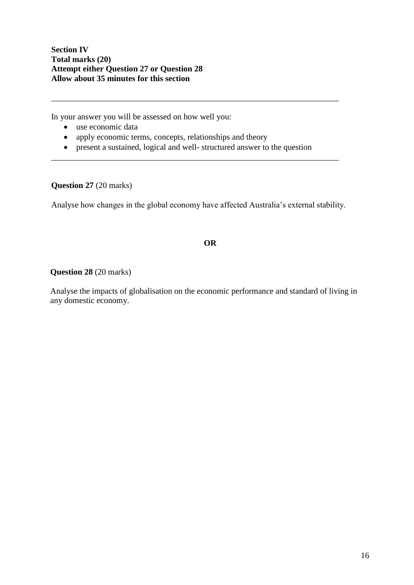**Section IV Total marks (20) Attempt either Question 27 or Question 28 Allow about 35 minutes for this section**

In your answer you will be assessed on how well you:

- use economic data
- apply economic terms, concepts, relationships and theory
- present a sustained, logical and well- structured answer to the question

\_\_\_\_\_\_\_\_\_\_\_\_\_\_\_\_\_\_\_\_\_\_\_\_\_\_\_\_\_\_\_\_\_\_\_\_\_\_\_\_\_\_\_\_\_\_\_\_\_\_\_\_\_\_\_\_\_\_\_\_\_\_\_\_\_\_\_\_\_

\_\_\_\_\_\_\_\_\_\_\_\_\_\_\_\_\_\_\_\_\_\_\_\_\_\_\_\_\_\_\_\_\_\_\_\_\_\_\_\_\_\_\_\_\_\_\_\_\_\_\_\_\_\_\_\_\_\_\_\_\_\_\_\_\_\_\_\_\_

**Question 27** (20 marks)

Analyse how changes in the global economy have affected Australia's external stability.

# **OR**

**Question 28** (20 marks)

Analyse the impacts of globalisation on the economic performance and standard of living in any domestic economy.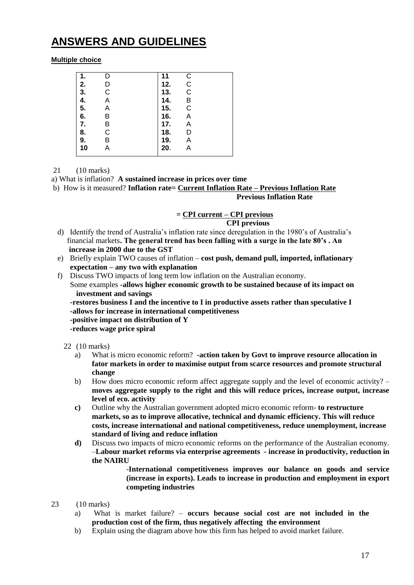# **ANSWERS AND GUIDELINES**

### **Multiple choice**

| 1. |   | 11  | С |  |
|----|---|-----|---|--|
| 2. | D | 12. | C |  |
| 3. | С | 13. | C |  |
| 4. | Α | 14. | B |  |
| 5. | Α | 15. | C |  |
| 6. | Β | 16. | Α |  |
| 7. | Β | 17. | Α |  |
| 8. | С | 18. | D |  |
| 9. | Β | 19. | А |  |
| 10 |   | 20. |   |  |
|    |   |     |   |  |

21 (10 marks)

a) What is inflation? **A sustained increase in prices over time**

b) How is it measured? **Inflation rate= Current Inflation Rate – Previous Inflation Rate Previous Inflation Rate**

### **= CPI current – CPI previous CPI previous**

- d) Identify the trend of Australia's inflation rate since deregulation in the 1980's of Australia's financial markets**. The general trend has been falling with a surge in the late 80's . An increase in 2000 due to the GST**
- e) Briefly explain TWO causes of inflation **cost push, demand pull, imported, inflationary expectation – any two with explanation**
- f) Discuss TWO impacts of long term low inflation on the Australian economy. Some examples **-allows higher economic growth to be sustained because of its impact on investment and savings**
	- **-restores business I and the incentive to I in productive assets rather than speculative I -allows for increase in international competitiveness**
	- **-positive impact on distribution of Y**

**-reduces wage price spiral** 

- 22 (10 marks)
	- a) What is micro economic reform? **-action taken by Govt to improve resource allocation in fator markets in order to maximise output from scarce resources and promote structural change**
	- b) How does micro economic reform affect aggregate supply and the level of economic activity? **moves aggregate supply to the right and this will reduce prices, increase output, increase level of eco. activity**
	- **c)** Outline why the Australian government adopted micro economic reform- **to restructure markets, so as to improve allocative, technical and dynamic efficiency. This will reduce costs, increase international and national competitiveness, reduce unemployment, increase standard of living and reduce inflation**
	- **d)** Discuss two impacts of micro economic reforms on the performance of the Australian economy. –**Labour market reforms via enterprise agreements - increase in productivity, reduction in the NAIRU**

-**International competitiveness improves our balance on goods and service (increase in exports). Leads to increase in production and employment in export competing industries** 

- 23 (10 marks)
	- a) What is market failure? **occurs because social cost are not included in the production cost of the firm, thus negatively affecting the environment**
	- b) Explain using the diagram above how this firm has helped to avoid market failure.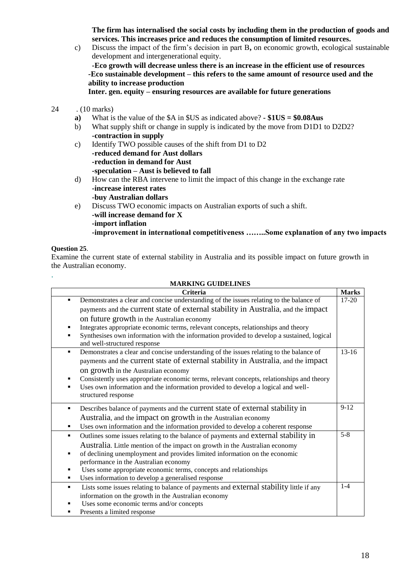**The firm has internalised the social costs by including them in the production of goods and services. This increases price and reduces the consumption of limited resources.**

c) Discuss the impact of the firm's decision in part B**,** on economic growth, ecological sustainable development and intergenerational equity. **-Eco growth will decrease unless there is an increase in the efficient use of resources -Eco sustainable development – this refers to the same amount of resource used and the ability to increase production**

**Inter. gen. equity – ensuring resources are available for future generations**

- 24 . (10 marks)
	- **a)** What is the value of the \$A in \$US as indicated above? **- \$1US = \$0.08Aus**
	- b) What supply shift or change in supply is indicated by the move from D1D1 to D2D2? **-contraction in supply**
	- c) Identify TWO possible causes of the shift from D1 to D2 **-reduced demand for Aust dollars -reduction in demand for Aust -speculation – Aust is believed to fall**
	- d) How can the RBA intervene to limit the impact of this change in the exchange rate **-increase interest rates -buy Australian dollars**
	- e) Discuss TWO economic impacts on Australian exports of such a shift. **-will increase demand for X -import inflation -improvement in international competitiveness ……..Some explanation of any two impacts**

### **Question 25**.

.

Examine the current state of external stability in Australia and its possible impact on future growth in the Australian economy.

|             | <b>MARKING GUIDELINES</b>                                                                                                                                                                                                                                                                                                                                                                                                                     |              |  |
|-------------|-----------------------------------------------------------------------------------------------------------------------------------------------------------------------------------------------------------------------------------------------------------------------------------------------------------------------------------------------------------------------------------------------------------------------------------------------|--------------|--|
|             | Criteria                                                                                                                                                                                                                                                                                                                                                                                                                                      | <b>Marks</b> |  |
| ٠<br>٠      | Demonstrates a clear and concise understanding of the issues relating to the balance of<br>payments and the current state of external stability in Australia, and the impact<br>on future growth in the Australian economy<br>Integrates appropriate economic terms, relevant concepts, relationships and theory<br>Synthesises own information with the information provided to develop a sustained, logical<br>and well-structured response | 17-20        |  |
| ٠           | Demonstrates a clear and concise understanding of the issues relating to the balance of<br>payments and the current state of external stability in Australia, and the impact<br>on growth in the Australian economy<br>Consistently uses appropriate economic terms, relevant concepts, relationships and theory<br>Uses own information and the information provided to develop a logical and well-<br>structured response                   | $13-16$      |  |
| ٠<br>٠      | Describes balance of payments and the current state of external stability in<br>Australia, and the impact on growth in the Australian economy<br>Uses own information and the information provided to develop a coherent response                                                                                                                                                                                                             | $9 - 12$     |  |
| ٠<br>٠      | Outlines some issues relating to the balance of payments and external stability in<br>Australia. Little mention of the impact on growth in the Australian economy<br>of declining unemployment and provides limited information on the economic<br>performance in the Australian economy<br>Uses some appropriate economic terms, concepts and relationships<br>Uses information to develop a generalised response                            | $5 - 8$      |  |
| ٠<br>٠<br>٠ | Lists some issues relating to balance of payments and external stability little if any<br>information on the growth in the Australian economy<br>Uses some economic terms and/or concepts<br>Presents a limited response                                                                                                                                                                                                                      | $1-4$        |  |

18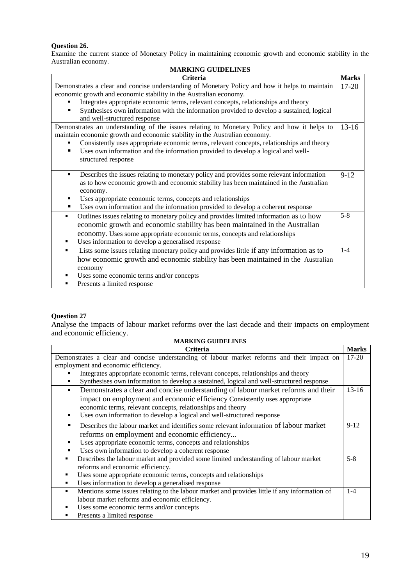### **Question 26.**

Examine the current stance of Monetary Policy in maintaining economic growth and economic stability in the Australian economy. **MARKING GUIDELINES**

| MARKING GUIDELINES                                                                                                                                                        |              |  |  |  |  |
|---------------------------------------------------------------------------------------------------------------------------------------------------------------------------|--------------|--|--|--|--|
| <b>Criteria</b>                                                                                                                                                           | <b>Marks</b> |  |  |  |  |
| Demonstrates a clear and concise understanding of Monetary Policy and how it helps to maintain                                                                            | $17 - 20$    |  |  |  |  |
| economic growth and economic stability in the Australian economy.                                                                                                         |              |  |  |  |  |
| Integrates appropriate economic terms, relevant concepts, relationships and theory                                                                                        |              |  |  |  |  |
| Synthesises own information with the information provided to develop a sustained, logical                                                                                 |              |  |  |  |  |
| and well-structured response                                                                                                                                              |              |  |  |  |  |
| Demonstrates an understanding of the issues relating to Monetary Policy and how it helps to<br>maintain economic growth and economic stability in the Australian economy. | $13-16$      |  |  |  |  |
| Consistently uses appropriate economic terms, relevant concepts, relationships and theory                                                                                 |              |  |  |  |  |
| Uses own information and the information provided to develop a logical and well-                                                                                          |              |  |  |  |  |
| structured response                                                                                                                                                       |              |  |  |  |  |
|                                                                                                                                                                           |              |  |  |  |  |
| Describes the issues relating to monetary policy and provides some relevant information                                                                                   | $9-12$       |  |  |  |  |
| as to how economic growth and economic stability has been maintained in the Australian                                                                                    |              |  |  |  |  |
| economy.                                                                                                                                                                  |              |  |  |  |  |
| Uses appropriate economic terms, concepts and relationships                                                                                                               |              |  |  |  |  |
| Uses own information and the information provided to develop a coherent response                                                                                          |              |  |  |  |  |
| Outlines issues relating to monetary policy and provides limited information as to how<br>٠                                                                               | $5 - 8$      |  |  |  |  |
| economic growth and economic stability has been maintained in the Australian                                                                                              |              |  |  |  |  |
| economy. Uses some appropriate economic terms, concepts and relationships                                                                                                 |              |  |  |  |  |
| Uses information to develop a generalised response<br>٠                                                                                                                   |              |  |  |  |  |
| Lists some issues relating monetary policy and provides little if any information as to<br>٠                                                                              | $1 - 4$      |  |  |  |  |
| how economic growth and economic stability has been maintained in the Australian                                                                                          |              |  |  |  |  |
| economy                                                                                                                                                                   |              |  |  |  |  |
| Uses some economic terms and/or concepts                                                                                                                                  |              |  |  |  |  |
| Presents a limited response                                                                                                                                               |              |  |  |  |  |

### **Question 27**

Analyse the impacts of labour market reforms over the last decade and their impacts on employment and economic efficiency.

| <b>MARKING GUIDELINES</b>                                                                         |                           |  |  |  |
|---------------------------------------------------------------------------------------------------|---------------------------|--|--|--|
| <b>Criteria</b>                                                                                   | <b>Marks</b><br>$17 - 20$ |  |  |  |
| Demonstrates a clear and concise understanding of labour market reforms and their impact on       |                           |  |  |  |
| employment and economic efficiency.                                                               |                           |  |  |  |
| Integrates appropriate economic terms, relevant concepts, relationships and theory                |                           |  |  |  |
| Synthesises own information to develop a sustained, logical and well-structured response          |                           |  |  |  |
| Demonstrates a clear and concise understanding of labour market reforms and their<br>٠            | $13-16$                   |  |  |  |
| impact on employment and economic efficiency Consistently uses appropriate                        |                           |  |  |  |
| economic terms, relevant concepts, relationships and theory                                       |                           |  |  |  |
| Uses own information to develop a logical and well-structured response<br>٠                       |                           |  |  |  |
| Describes the labour market and identifies some relevant information of labour market             | $9-12$                    |  |  |  |
| reforms on employment and economic efficiency                                                     |                           |  |  |  |
| Uses appropriate economic terms, concepts and relationships                                       |                           |  |  |  |
| Uses own information to develop a coherent response                                               |                           |  |  |  |
| Describes the labour market and provided some limited understanding of labour market<br>٠         | $5 - 8$                   |  |  |  |
| reforms and economic efficiency.                                                                  |                           |  |  |  |
| Uses some appropriate economic terms, concepts and relationships<br>٠                             |                           |  |  |  |
| Uses information to develop a generalised response                                                |                           |  |  |  |
| Mentions some issues relating to the labour market and provides little if any information of<br>٠ | $1 - 4$                   |  |  |  |
| labour market reforms and economic efficiency.                                                    |                           |  |  |  |
| Uses some economic terms and/or concepts                                                          |                           |  |  |  |
| Presents a limited response                                                                       |                           |  |  |  |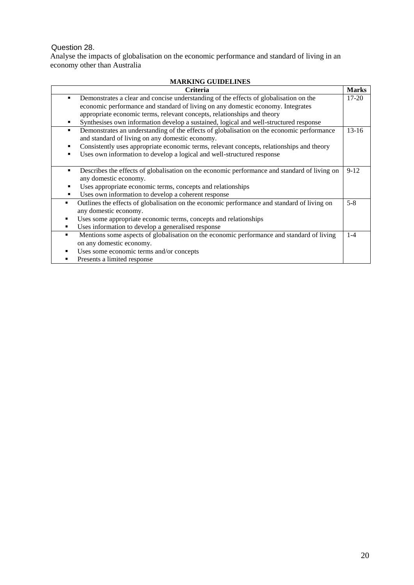# Question 28.

Analyse the impacts of globalisation on the economic performance and standard of living in an economy other than Australia

| MAKNING GUIDELINES                                                                                          |              |  |  |  |  |
|-------------------------------------------------------------------------------------------------------------|--------------|--|--|--|--|
| <b>Criteria</b>                                                                                             | <b>Marks</b> |  |  |  |  |
| Demonstrates a clear and concise understanding of the effects of globalisation on the<br>٠                  | $17 - 20$    |  |  |  |  |
| economic performance and standard of living on any domestic economy. Integrates                             |              |  |  |  |  |
| appropriate economic terms, relevant concepts, relationships and theory                                     |              |  |  |  |  |
| Synthesises own information develop a sustained, logical and well-structured response<br>٠                  |              |  |  |  |  |
| Demonstrates an understanding of the effects of globalisation on the economic performance<br>$\blacksquare$ | $13-16$      |  |  |  |  |
| and standard of living on any domestic economy.                                                             |              |  |  |  |  |
| Consistently uses appropriate economic terms, relevant concepts, relationships and theory<br>٠              |              |  |  |  |  |
| Uses own information to develop a logical and well-structured response                                      |              |  |  |  |  |
|                                                                                                             |              |  |  |  |  |
| Describes the effects of globalisation on the economic performance and standard of living on<br>٠           | $9-12$       |  |  |  |  |
| any domestic economy.                                                                                       |              |  |  |  |  |
| Uses appropriate economic terms, concepts and relationships<br>٠                                            |              |  |  |  |  |
| Uses own information to develop a coherent response<br>٠                                                    |              |  |  |  |  |
| Outlines the effects of globalisation on the economic performance and standard of living on<br>٠            | $5 - 8$      |  |  |  |  |
| any domestic economy.                                                                                       |              |  |  |  |  |
| Uses some appropriate economic terms, concepts and relationships<br>٠                                       |              |  |  |  |  |
| Uses information to develop a generalised response<br>٠                                                     |              |  |  |  |  |
| Mentions some aspects of globalisation on the economic performance and standard of living                   | $1-4$        |  |  |  |  |
| on any domestic economy.                                                                                    |              |  |  |  |  |
| Uses some economic terms and/or concepts                                                                    |              |  |  |  |  |
| Presents a limited response                                                                                 |              |  |  |  |  |

# **MARKING GUIDELINES**